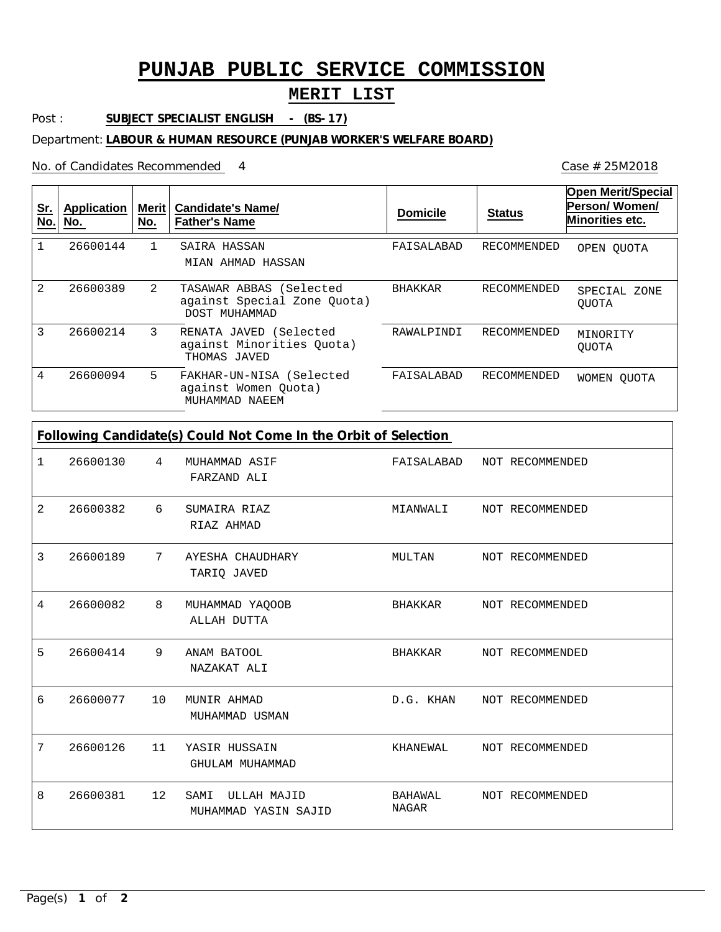## **PUNJAB PUBLIC SERVICE COMMISSION**

## **MERIT LIST**

Post : **SUBJECT SPECIALIST ENGLISH - (BS-17)** 

Department: **LABOUR & HUMAN RESOURCE (PUNJAB WORKER'S WELFARE BOARD)**

No. of Candidates Recommended

| <u>Sr.</u><br>No. | Application<br>No. | Merit<br>No. | <b>Candidate's Name/</b><br><b>Father's Name</b>                        | <b>Domicile</b> | <b>Status</b> | <b>Open Merit/Special</b><br>Person/Women/<br>Minorities etc. |
|-------------------|--------------------|--------------|-------------------------------------------------------------------------|-----------------|---------------|---------------------------------------------------------------|
|                   | 26600144           | $\mathbf{1}$ | SAIRA HASSAN<br>MIAN AHMAD HASSAN                                       | FAISALABAD      | RECOMMENDED   | OPEN OUOTA                                                    |
| 2                 | 26600389           | 2            | TASAWAR ABBAS (Selected<br>against Special Zone Quota)<br>DOST MUHAMMAD | BHAKKAR         | RECOMMENDED   | SPECIAL ZONE<br><b>OUOTA</b>                                  |
| 3                 | 26600214           | 3            | RENATA JAVED (Selected<br>against Minorities Ouota)<br>THOMAS JAVED     | RAWALPINDI      | RECOMMENDED   | MINORITY<br>OUOTA                                             |
| 4                 | 26600094           | 5            | FAKHAR-UN-NISA (Selected<br>against Women Quota)<br>MUHAMMAD NAEEM      | FAISALABAD      | RECOMMENDED   | WOMEN OUOTA                                                   |

| Following Candidate(s) Could Not Come In the Orbit of Selection |          |    |                                             |                         |  |                 |  |  |
|-----------------------------------------------------------------|----------|----|---------------------------------------------|-------------------------|--|-----------------|--|--|
| 1                                                               | 26600130 | 4  | MUHAMMAD ASIF<br>FARZAND ALI                | FAISALABAD              |  | NOT RECOMMENDED |  |  |
| 2                                                               | 26600382 | 6  | SUMAIRA RIAZ<br>RIAZ AHMAD                  | MIANWALI                |  | NOT RECOMMENDED |  |  |
| 3                                                               | 26600189 | 7  | AYESHA CHAUDHARY<br>TARIQ JAVED             | MULTAN                  |  | NOT RECOMMENDED |  |  |
| 4                                                               | 26600082 | 8  | MUHAMMAD YAQOOB<br>ALLAH DUTTA              | BHAKKAR                 |  | NOT RECOMMENDED |  |  |
| 5                                                               | 26600414 | 9  | ANAM BATOOL<br>NAZAKAT ALI                  | BHAKKAR                 |  | NOT RECOMMENDED |  |  |
| 6                                                               | 26600077 | 10 | MUNIR AHMAD<br>MUHAMMAD USMAN               | D.G. KHAN               |  | NOT RECOMMENDED |  |  |
| 7                                                               | 26600126 | 11 | YASIR HUSSAIN<br>GHULAM MUHAMMAD            | KHANEWAL                |  | NOT RECOMMENDED |  |  |
| 8                                                               | 26600381 | 12 | ULLAH MAJID<br>SAMI<br>MUHAMMAD YASIN SAJID | BAHAWAL<br><b>NAGAR</b> |  | NOT RECOMMENDED |  |  |

Case # 25M2018